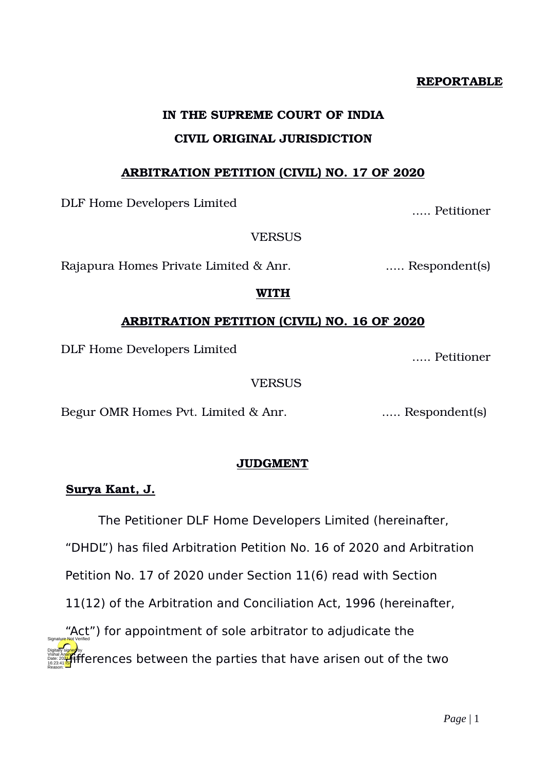### **REPORTABLE**

# **IN THE SUPREME COURT OF INDIA CIVIL ORIGINAL JURISDICTION**

# **ARBITRATION PETITION (CIVIL) NO. 17 OF 2020**

DLF Home Developers Limited ..... Petitioner

**VERSUS** 

Rajapura Homes Private Limited & Anr. ..... Respondent(s)

# **WITH**

# **ARBITRATION PETITION (CIVIL) NO. 16 OF 2020**

DLF Home Developers Limited ..... Petitioner

# **VERSUS**

Begur OMR Homes Pvt. Limited & Anr. ..... Respondent(s)

# **JUDGMENT**

# **Surya Kant, J.**

The Petitioner DLF Home Developers Limited (hereinafter,

"DHDL") has filed Arbitration Petition No. 16 of 2020 and Arbitration

Petition No. 17 of 2020 under Section 11(6) read with Section

11(12) of the Arbitration and Conciliation Act, 1996 (hereinafter,

"Act") for appointment of sole arbitrator to adjudicate the digitally signed by the parties that have arisen out of the two signifies that have arisen out of the two signed by the two signifies that have a street out of the two signifies that  $\frac{1}{\sqrt{2}}$ 16:23:41<sup>TST</sup> Reason: Signature Not Verified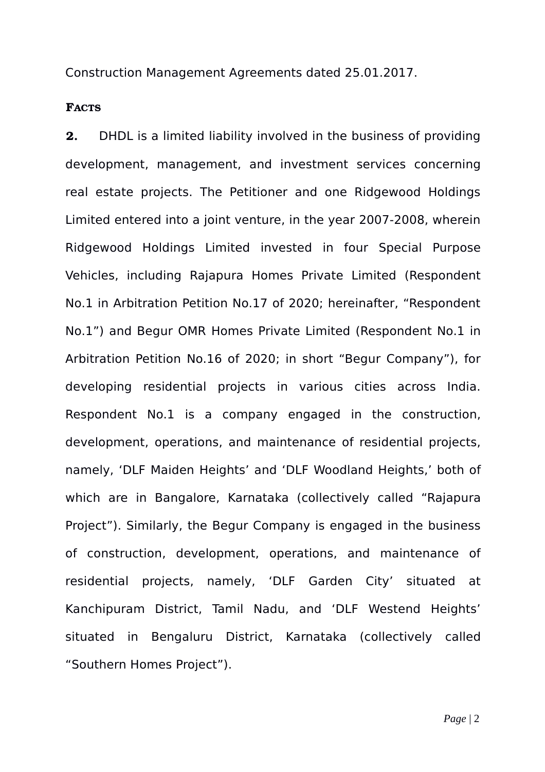Construction Management Agreements dated 25.01.2017.

# **FACTS**

**2.** DHDL is a limited liability involved in the business of providing development, management, and investment services concerning real estate projects. The Petitioner and one Ridgewood Holdings Limited entered into a joint venture, in the year 2007-2008, wherein Ridgewood Holdings Limited invested in four Special Purpose Vehicles, including Rajapura Homes Private Limited (Respondent No.1 in Arbitration Petition No.17 of 2020; hereinafter, "Respondent No.1") and Begur OMR Homes Private Limited (Respondent No.1 in Arbitration Petition No.16 of 2020; in short "Begur Company"), for developing residential projects in various cities across India. Respondent No.1 is a company engaged in the construction, development, operations, and maintenance of residential projects, namely, 'DLF Maiden Heights' and 'DLF Woodland Heights,' both of which are in Bangalore, Karnataka (collectively called "Rajapura Project"). Similarly, the Begur Company is engaged in the business of construction, development, operations, and maintenance of residential projects, namely, 'DLF Garden City' situated at Kanchipuram District, Tamil Nadu, and 'DLF Westend Heights' situated in Bengaluru District, Karnataka (collectively called "Southern Homes Project").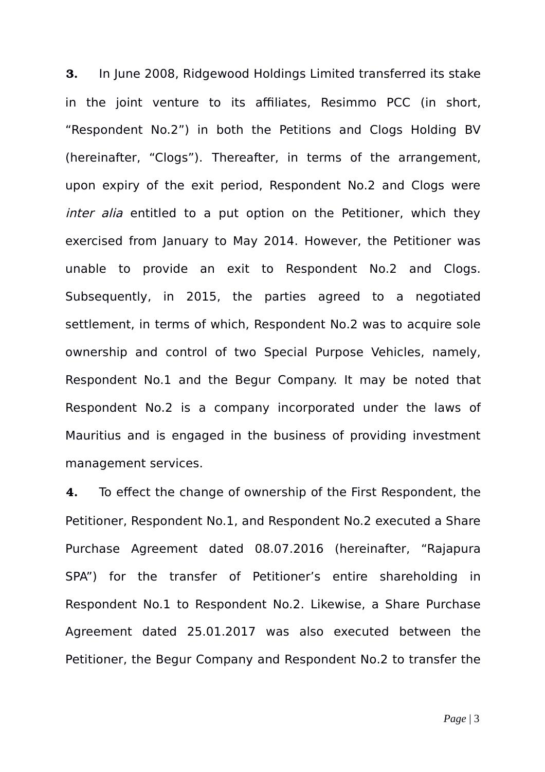**3.** In June 2008, Ridgewood Holdings Limited transferred its stake in the joint venture to its affiliates, Resimmo PCC (in short, "Respondent No.2") in both the Petitions and Clogs Holding BV (hereinafter, "Clogs"). Thereafter, in terms of the arrangement, upon expiry of the exit period, Respondent No.2 and Clogs were inter alia entitled to a put option on the Petitioner, which they exercised from January to May 2014. However, the Petitioner was unable to provide an exit to Respondent No.2 and Clogs. Subsequently, in 2015, the parties agreed to a negotiated settlement, in terms of which, Respondent No.2 was to acquire sole ownership and control of two Special Purpose Vehicles, namely, Respondent No.1 and the Begur Company. It may be noted that Respondent No.2 is a company incorporated under the laws of Mauritius and is engaged in the business of providing investment management services.

**4.** To effect the change of ownership of the First Respondent, the Petitioner, Respondent No.1, and Respondent No.2 executed a Share Purchase Agreement dated 08.07.2016 (hereinafter, "Rajapura SPA") for the transfer of Petitioner's entire shareholding in Respondent No.1 to Respondent No.2. Likewise, a Share Purchase Agreement dated 25.01.2017 was also executed between the Petitioner, the Begur Company and Respondent No.2 to transfer the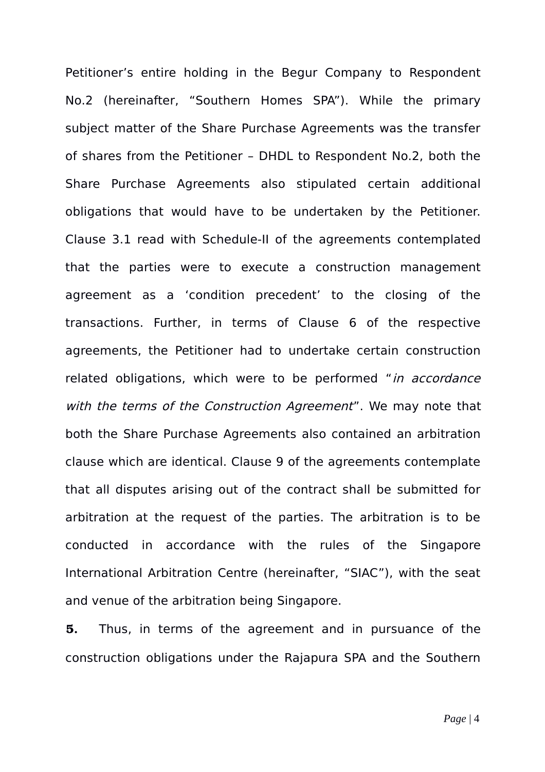Petitioner's entire holding in the Begur Company to Respondent No.2 (hereinafter, "Southern Homes SPA"). While the primary subject matter of the Share Purchase Agreements was the transfer of shares from the Petitioner – DHDL to Respondent No.2, both the Share Purchase Agreements also stipulated certain additional obligations that would have to be undertaken by the Petitioner. Clause 3.1 read with Schedule-II of the agreements contemplated that the parties were to execute a construction management agreement as a 'condition precedent' to the closing of the transactions. Further, in terms of Clause 6 of the respective agreements, the Petitioner had to undertake certain construction related obligations, which were to be performed "in accordance with the terms of the Construction Agreement". We may note that both the Share Purchase Agreements also contained an arbitration clause which are identical. Clause 9 of the agreements contemplate that all disputes arising out of the contract shall be submitted for arbitration at the request of the parties. The arbitration is to be conducted in accordance with the rules of the Singapore International Arbitration Centre (hereinafter, "SIAC"), with the seat and venue of the arbitration being Singapore.

**5.** Thus, in terms of the agreement and in pursuance of the construction obligations under the Rajapura SPA and the Southern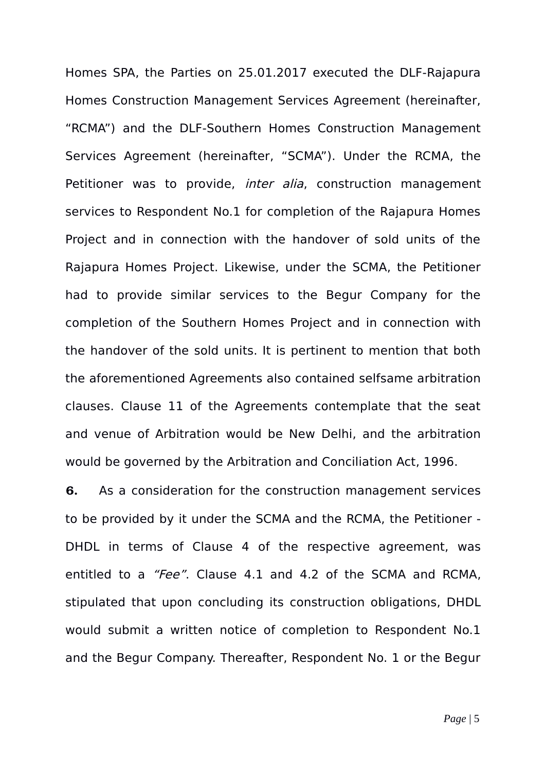Homes SPA, the Parties on 25.01.2017 executed the DLF-Rajapura Homes Construction Management Services Agreement (hereinafter, "RCMA") and the DLF-Southern Homes Construction Management Services Agreement (hereinafter, "SCMA"). Under the RCMA, the Petitioner was to provide, *inter alia*, construction management services to Respondent No.1 for completion of the Rajapura Homes Project and in connection with the handover of sold units of the Rajapura Homes Project. Likewise, under the SCMA, the Petitioner had to provide similar services to the Begur Company for the completion of the Southern Homes Project and in connection with the handover of the sold units. It is pertinent to mention that both the aforementioned Agreements also contained selfsame arbitration clauses. Clause 11 of the Agreements contemplate that the seat and venue of Arbitration would be New Delhi, and the arbitration would be governed by the Arbitration and Conciliation Act, 1996.

**6.** As a consideration for the construction management services to be provided by it under the SCMA and the RCMA, the Petitioner - DHDL in terms of Clause 4 of the respective agreement, was entitled to a "Fee". Clause 4.1 and 4.2 of the SCMA and RCMA, stipulated that upon concluding its construction obligations, DHDL would submit a written notice of completion to Respondent No.1 and the Begur Company. Thereafter, Respondent No. 1 or the Begur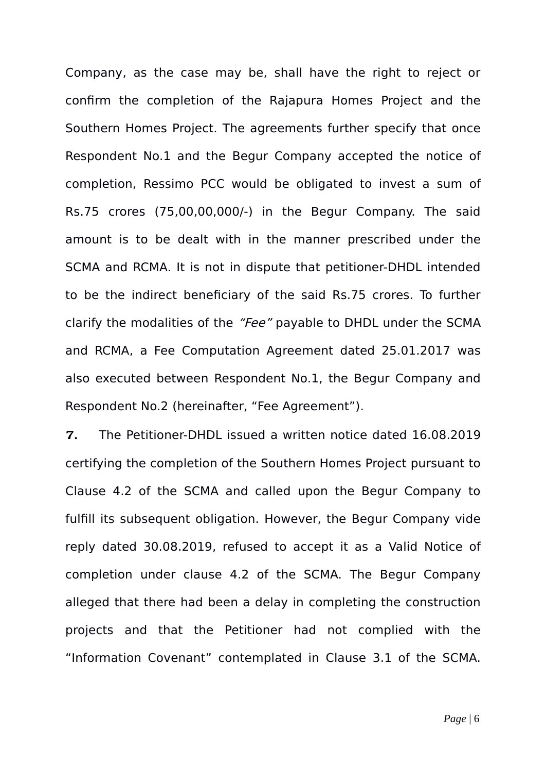Company, as the case may be, shall have the right to reject or confirm the completion of the Rajapura Homes Project and the Southern Homes Project. The agreements further specify that once Respondent No.1 and the Begur Company accepted the notice of completion, Ressimo PCC would be obligated to invest a sum of Rs.75 crores (75,00,00,000/-) in the Begur Company. The said amount is to be dealt with in the manner prescribed under the SCMA and RCMA. It is not in dispute that petitioner-DHDL intended to be the indirect beneficiary of the said Rs.75 crores. To further clarify the modalities of the "Fee" payable to DHDL under the SCMA and RCMA, a Fee Computation Agreement dated 25.01.2017 was also executed between Respondent No.1, the Begur Company and Respondent No.2 (hereinafter, "Fee Agreement").

**7.** The Petitioner-DHDL issued a written notice dated 16.08.2019 certifying the completion of the Southern Homes Project pursuant to Clause 4.2 of the SCMA and called upon the Begur Company to fulfill its subsequent obligation. However, the Begur Company vide reply dated 30.08.2019, refused to accept it as a Valid Notice of completion under clause 4.2 of the SCMA. The Begur Company alleged that there had been a delay in completing the construction projects and that the Petitioner had not complied with the "Information Covenant" contemplated in Clause 3.1 of the SCMA.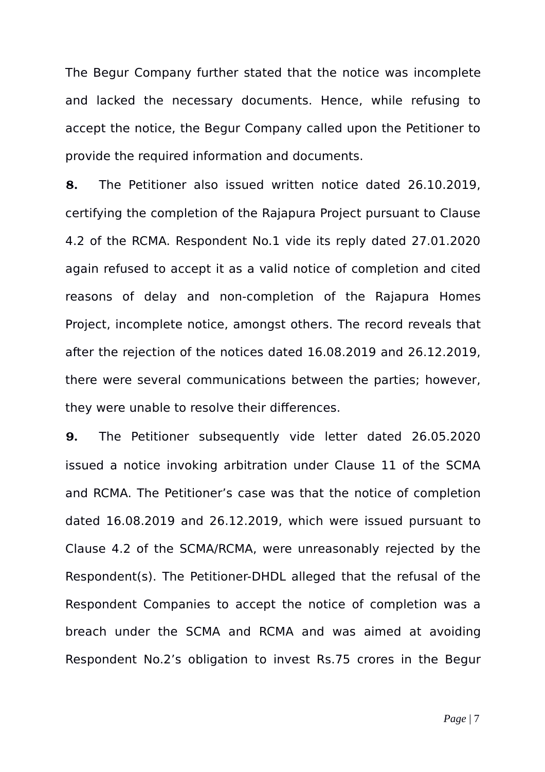The Begur Company further stated that the notice was incomplete and lacked the necessary documents. Hence, while refusing to accept the notice, the Begur Company called upon the Petitioner to provide the required information and documents.

**8.** The Petitioner also issued written notice dated 26.10.2019, certifying the completion of the Rajapura Project pursuant to Clause 4.2 of the RCMA. Respondent No.1 vide its reply dated 27.01.2020 again refused to accept it as a valid notice of completion and cited reasons of delay and non-completion of the Rajapura Homes Project, incomplete notice, amongst others. The record reveals that after the rejection of the notices dated 16.08.2019 and 26.12.2019, there were several communications between the parties; however, they were unable to resolve their differences.

**9.** The Petitioner subsequently vide letter dated 26.05.2020 issued a notice invoking arbitration under Clause 11 of the SCMA and RCMA. The Petitioner's case was that the notice of completion dated 16.08.2019 and 26.12.2019, which were issued pursuant to Clause 4.2 of the SCMA/RCMA, were unreasonably rejected by the Respondent(s). The Petitioner-DHDL alleged that the refusal of the Respondent Companies to accept the notice of completion was a breach under the SCMA and RCMA and was aimed at avoiding Respondent No.2's obligation to invest Rs.75 crores in the Begur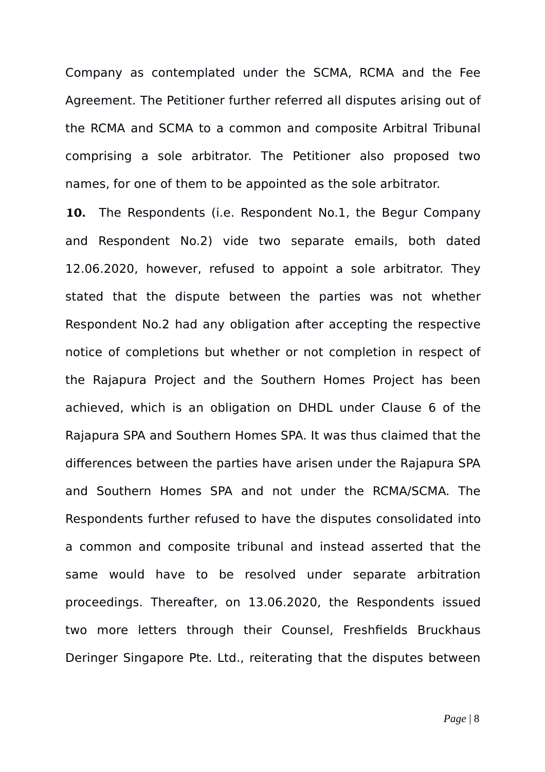Company as contemplated under the SCMA, RCMA and the Fee Agreement. The Petitioner further referred all disputes arising out of the RCMA and SCMA to a common and composite Arbitral Tribunal comprising a sole arbitrator. The Petitioner also proposed two names, for one of them to be appointed as the sole arbitrator.

**10.** The Respondents (i.e. Respondent No.1, the Begur Company and Respondent No.2) vide two separate emails, both dated 12.06.2020, however, refused to appoint a sole arbitrator. They stated that the dispute between the parties was not whether Respondent No.2 had any obligation after accepting the respective notice of completions but whether or not completion in respect of the Rajapura Project and the Southern Homes Project has been achieved, which is an obligation on DHDL under Clause 6 of the Rajapura SPA and Southern Homes SPA. It was thus claimed that the differences between the parties have arisen under the Rajapura SPA and Southern Homes SPA and not under the RCMA/SCMA. The Respondents further refused to have the disputes consolidated into a common and composite tribunal and instead asserted that the same would have to be resolved under separate arbitration proceedings. Thereafter, on 13.06.2020, the Respondents issued two more letters through their Counsel, Freshfields Bruckhaus Deringer Singapore Pte. Ltd., reiterating that the disputes between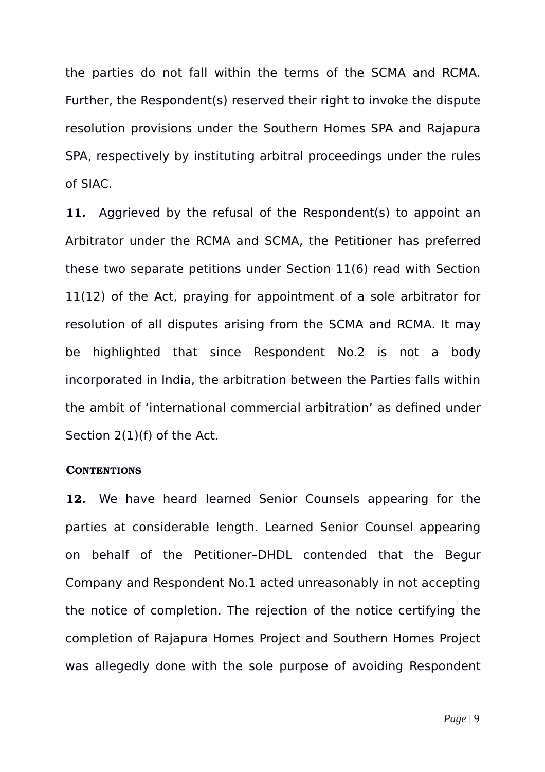the parties do not fall within the terms of the SCMA and RCMA. Further, the Respondent(s) reserved their right to invoke the dispute resolution provisions under the Southern Homes SPA and Rajapura SPA, respectively by instituting arbitral proceedings under the rules of SIAC.

**11.** Aggrieved by the refusal of the Respondent(s) to appoint an Arbitrator under the RCMA and SCMA, the Petitioner has preferred these two separate petitions under Section 11(6) read with Section 11(12) of the Act, praying for appointment of a sole arbitrator for resolution of all disputes arising from the SCMA and RCMA. It may be highlighted that since Respondent No.2 is not a body incorporated in India, the arbitration between the Parties falls within the ambit of 'international commercial arbitration' as defined under Section 2(1)(f) of the Act.

### **CONTENTIONS**

**12.** We have heard learned Senior Counsels appearing for the parties at considerable length. Learned Senior Counsel appearing on behalf of the Petitioner–DHDL contended that the Begur Company and Respondent No.1 acted unreasonably in not accepting the notice of completion. The rejection of the notice certifying the completion of Rajapura Homes Project and Southern Homes Project was allegedly done with the sole purpose of avoiding Respondent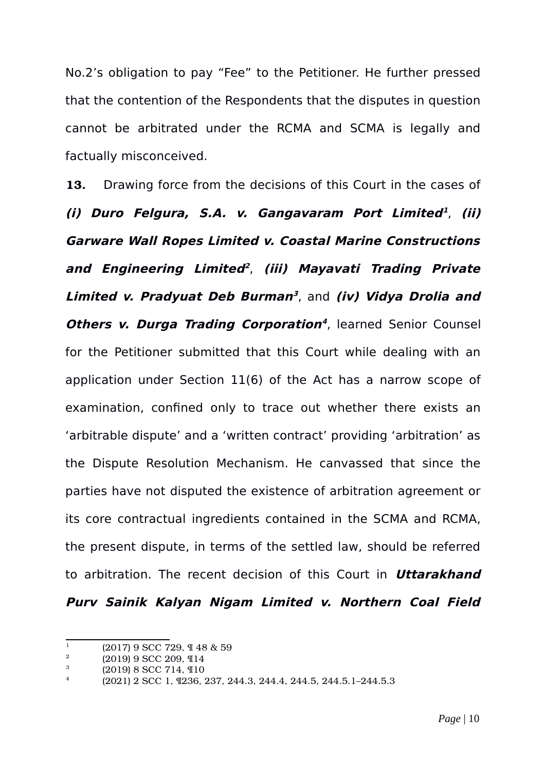No.2's obligation to pay "Fee" to the Petitioner. He further pressed that the contention of the Respondents that the disputes in question cannot be arbitrated under the RCMA and SCMA is legally and factually misconceived.

**13.** Drawing force from the decisions of this Court in the cases of **(i) Duro Felgura, S.A. v. Gangavaram Port Limited [1](#page-9-0)** , **(ii) Garware Wall Ropes Limited v. Coastal Marine Constructions and Engineering Limited [2](#page-9-1)** , **(iii) Mayavati Trading Private Limited v. Pradyuat Deb Burman [3](#page-9-2)** , and **(iv) Vidya Drolia and Others v. Durga Trading Corporation [4](#page-9-3)** , learned Senior Counsel for the Petitioner submitted that this Court while dealing with an application under Section 11(6) of the Act has a narrow scope of examination, confined only to trace out whether there exists an 'arbitrable dispute' and a 'written contract' providing 'arbitration' as the Dispute Resolution Mechanism. He canvassed that since the parties have not disputed the existence of arbitration agreement or its core contractual ingredients contained in the SCMA and RCMA, the present dispute, in terms of the settled law, should be referred to arbitration. The recent decision of this Court in **Uttarakhand Purv Sainik Kalyan Nigam Limited v. Northern Coal Field**

<span id="page-9-0"></span><sup>&</sup>lt;sup>1</sup> (2017) 9 SCC 729,  $\frac{1}{4}$  48 & 59

<span id="page-9-1"></span><sup>&</sup>lt;sup>2</sup> (2019) 9 SCC 209, ¶14<br><sup>3</sup> (2010) 9 SCC 714 **f**[10]

<span id="page-9-2"></span> $\frac{3}{4}$  (2019) 8 SCC 714, 110

<span id="page-9-3"></span><sup>4</sup> (2021) 2 SCC 1, ¶236, 237, 244.3, 244.4, 244.5, 244.5.1–244.5.3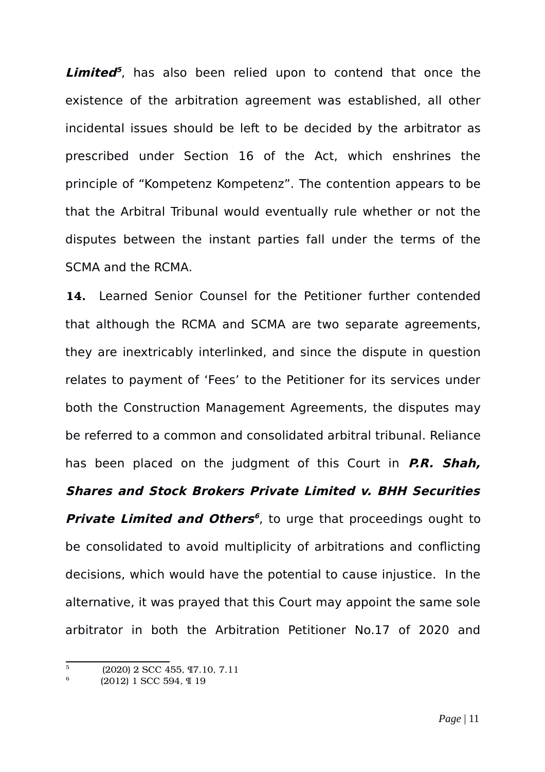**Limited [5](#page-10-0)** , has also been relied upon to contend that once the existence of the arbitration agreement was established, all other incidental issues should be left to be decided by the arbitrator as prescribed under Section 16 of the Act, which enshrines the principle of "Kompetenz Kompetenz". The contention appears to be that the Arbitral Tribunal would eventually rule whether or not the disputes between the instant parties fall under the terms of the SCMA and the RCMA.

**14.** Learned Senior Counsel for the Petitioner further contended that although the RCMA and SCMA are two separate agreements, they are inextricably interlinked, and since the dispute in question relates to payment of 'Fees' to the Petitioner for its services under both the Construction Management Agreements, the disputes may be referred to a common and consolidated arbitral tribunal. Reliance has been placed on the judgment of this Court in **P.R. Shah, Shares and Stock Brokers Private Limited v. BHH Securities Private Limited and Others [6](#page-10-1)** , to urge that proceedings ought to be consolidated to avoid multiplicity of arbitrations and conflicting decisions, which would have the potential to cause injustice. In the alternative, it was prayed that this Court may appoint the same sole arbitrator in both the Arbitration Petitioner No.17 of 2020 and

<span id="page-10-0"></span> $\overline{5}$  (2020) 2 SCC 455, 17.10, 7.11

<span id="page-10-1"></span><sup>6</sup> (2012) 1 SCC 594, ¶ 19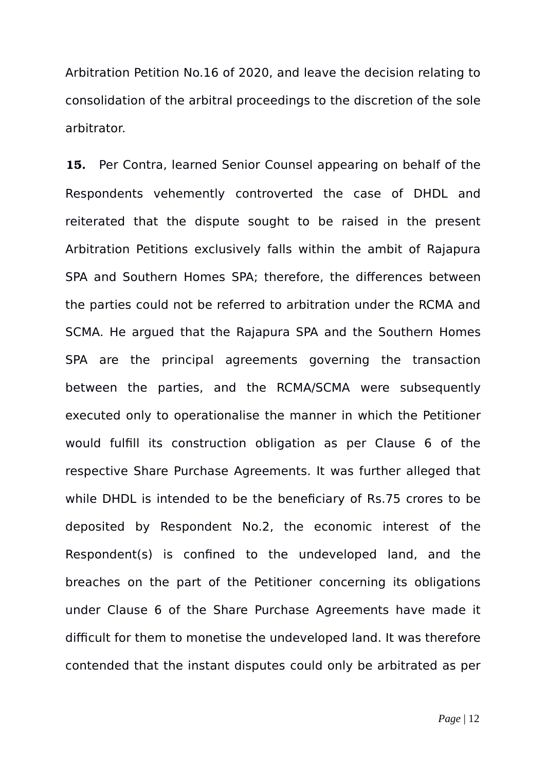Arbitration Petition No.16 of 2020, and leave the decision relating to consolidation of the arbitral proceedings to the discretion of the sole arbitrator.

**15.** Per Contra, learned Senior Counsel appearing on behalf of the Respondents vehemently controverted the case of DHDL and reiterated that the dispute sought to be raised in the present Arbitration Petitions exclusively falls within the ambit of Rajapura SPA and Southern Homes SPA; therefore, the differences between the parties could not be referred to arbitration under the RCMA and SCMA. He argued that the Rajapura SPA and the Southern Homes SPA are the principal agreements governing the transaction between the parties, and the RCMA/SCMA were subsequently executed only to operationalise the manner in which the Petitioner would fulfill its construction obligation as per Clause 6 of the respective Share Purchase Agreements. It was further alleged that while DHDL is intended to be the beneficiary of Rs.75 crores to be deposited by Respondent No.2, the economic interest of the Respondent(s) is confined to the undeveloped land, and the breaches on the part of the Petitioner concerning its obligations under Clause 6 of the Share Purchase Agreements have made it difficult for them to monetise the undeveloped land. It was therefore contended that the instant disputes could only be arbitrated as per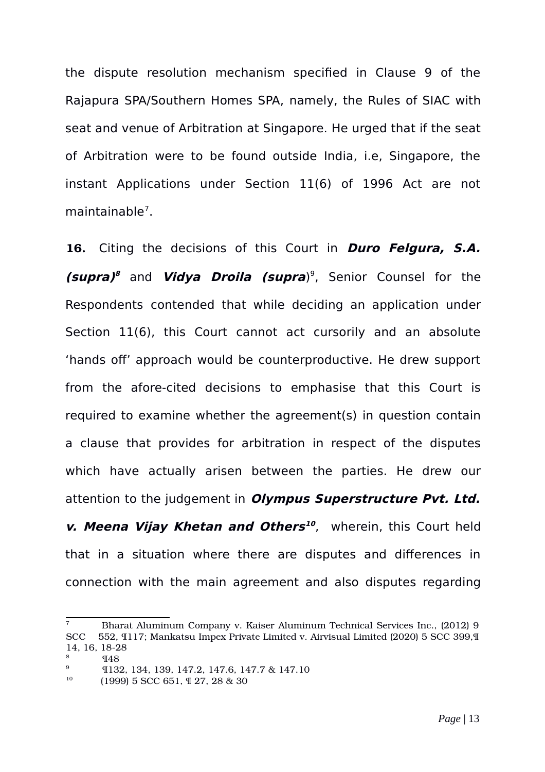the dispute resolution mechanism specified in Clause 9 of the Rajapura SPA/Southern Homes SPA, namely, the Rules of SIAC with seat and venue of Arbitration at Singapore. He urged that if the seat of Arbitration were to be found outside India, i.e, Singapore, the instant Applications under Section 11(6) of 1996 Act are not maintainable<sup>[7](#page-12-0)</sup>.

**16.** Citing the decisions of this Court in **Duro Felgura, S.A. (supra) [8](#page-12-1)** and **Vidya Droila (supra**) [9](#page-12-2) , Senior Counsel for the Respondents contended that while deciding an application under Section 11(6), this Court cannot act cursorily and an absolute 'hands off' approach would be counterproductive. He drew support from the afore-cited decisions to emphasise that this Court is required to examine whether the agreement(s) in question contain a clause that provides for arbitration in respect of the disputes which have actually arisen between the parties. He drew our attention to the judgement in **Olympus Superstructure Pvt. Ltd. v. Meena Vijay Khetan and Others [10](#page-12-3)** , wherein, this Court held that in a situation where there are disputes and differences in connection with the main agreement and also disputes regarding

<span id="page-12-0"></span><sup>7</sup> Bharat Aluminum Company v. Kaiser Aluminum Technical Services Inc., (2012) 9 SCC 552, ¶117; Mankatsu Impex Private Limited v. Airvisual Limited (2020) 5 SCC 399,¶ 14, 16, 18-28

<span id="page-12-1"></span> $\frac{8}{9}$   $\frac{148}{9}$ 

<span id="page-12-2"></span><sup>&</sup>lt;sup>9</sup> **I** 132, 134, 139, 147.2, 147.6, 147.7 & 147.10

<span id="page-12-3"></span><sup>10</sup> (1999) 5 SCC 651, ¶ 27, 28 & 30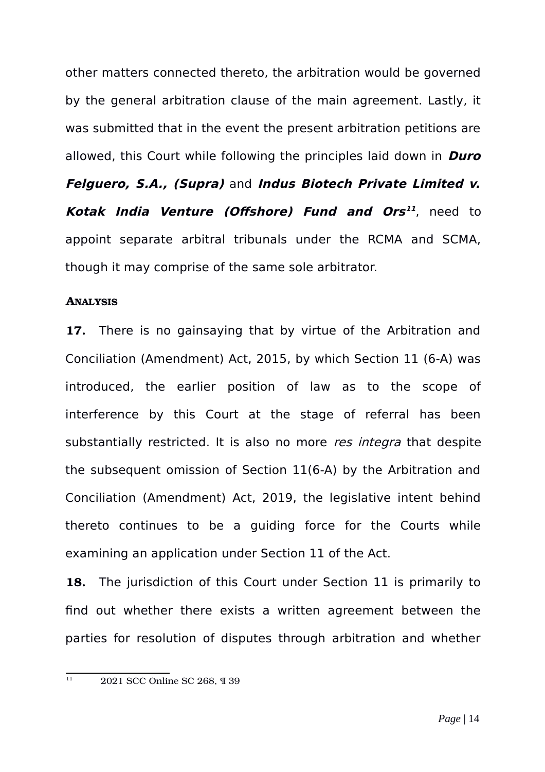other matters connected thereto, the arbitration would be governed by the general arbitration clause of the main agreement. Lastly, it was submitted that in the event the present arbitration petitions are allowed, this Court while following the principles laid down in **Duro Felguero, S.A., (Supra)** and **Indus Biotech Private Limited v. Kotak India Venture (Offshore) Fund and Ors [11](#page-13-0)** , need to appoint separate arbitral tribunals under the RCMA and SCMA, though it may comprise of the same sole arbitrator.

# **ANALYSIS**

**17.** There is no gainsaying that by virtue of the Arbitration and Conciliation (Amendment) Act, 2015, by which Section 11 (6-A) was introduced, the earlier position of law as to the scope of interference by this Court at the stage of referral has been substantially restricted. It is also no more res integra that despite the subsequent omission of Section 11(6-A) by the Arbitration and Conciliation (Amendment) Act, 2019, the legislative intent behind thereto continues to be a guiding force for the Courts while examining an application under Section 11 of the Act.

**18.** The jurisdiction of this Court under Section 11 is primarily to find out whether there exists a written agreement between the parties for resolution of disputes through arbitration and whether

<span id="page-13-0"></span> $\frac{11}{11}$  2021 SCC Online SC 268, ¶ 39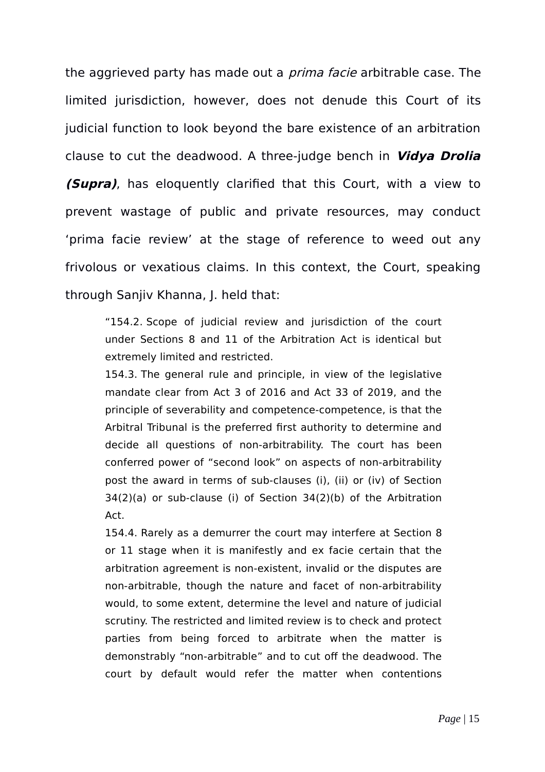the aggrieved party has made out a *prima facie* arbitrable case. The limited jurisdiction, however, does not denude this Court of its judicial function to look beyond the bare existence of an arbitration clause to cut the deadwood. A three-judge bench in **Vidya Drolia (Supra)**, has eloquently clarified that this Court, with a view to prevent wastage of public and private resources, may conduct 'prima facie review' at the stage of reference to weed out any frivolous or vexatious claims. In this context, the Court, speaking through Sanjiv Khanna, J. held that:

"154.2. Scope of judicial review and jurisdiction of the court under Sections 8 and 11 of the Arbitration Act is identical but extremely limited and restricted.

154.3. The general rule and principle, in view of the legislative mandate clear from Act 3 of 2016 and Act 33 of 2019, and the principle of severability and competence-competence, is that the Arbitral Tribunal is the preferred first authority to determine and decide all questions of non-arbitrability. The court has been conferred power of "second look" on aspects of non-arbitrability post the award in terms of sub-clauses (i), (ii) or (iv) of Section 34(2)(a) or sub-clause (i) of Section 34(2)(b) of the Arbitration Act.

154.4. Rarely as a demurrer the court may interfere at Section 8 or 11 stage when it is manifestly and ex facie certain that the arbitration agreement is non-existent, invalid or the disputes are non-arbitrable, though the nature and facet of non-arbitrability would, to some extent, determine the level and nature of judicial scrutiny. The restricted and limited review is to check and protect parties from being forced to arbitrate when the matter is demonstrably "non-arbitrable" and to cut off the deadwood. The court by default would refer the matter when contentions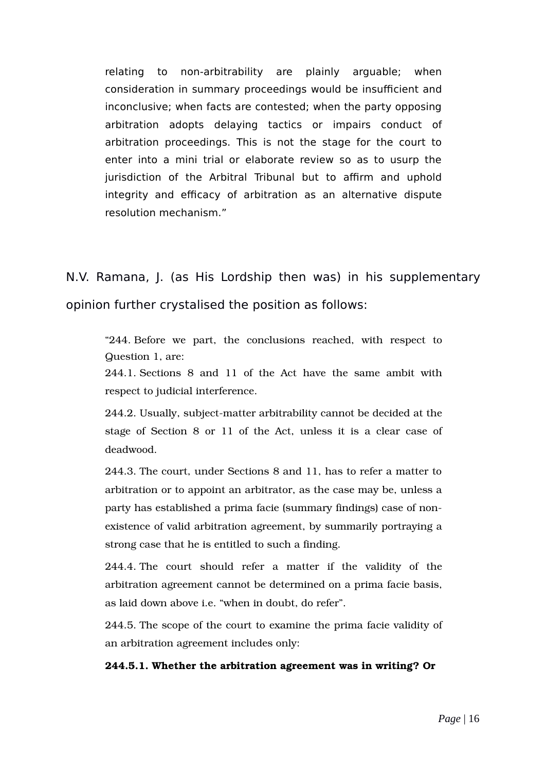relating to non-arbitrability are plainly arguable; when consideration in summary proceedings would be insufficient and inconclusive; when facts are contested; when the party opposing arbitration adopts delaying tactics or impairs conduct of arbitration proceedings. This is not the stage for the court to enter into a mini trial or elaborate review so as to usurp the jurisdiction of the Arbitral Tribunal but to affirm and uphold integrity and efficacy of arbitration as an alternative dispute resolution mechanism."

N.V. Ramana, J. (as His Lordship then was) in his supplementary opinion further crystalised the position as follows:

"244. Before we part, the conclusions reached, with respect to Question 1, are:

244.1. Sections 8 and 11 of the Act have the same ambit with respect to judicial interference.

244.2. Usually, subject-matter arbitrability cannot be decided at the stage of Section 8 or 11 of the Act, unless it is a clear case of deadwood.

244.3. The court, under Sections 8 and 11, has to refer a matter to arbitration or to appoint an arbitrator, as the case may be, unless a party has established a prima facie (summary findings) case of nonexistence of valid arbitration agreement, by summarily portraying a strong case that he is entitled to such a finding.

244.4. The court should refer a matter if the validity of the arbitration agreement cannot be determined on a prima facie basis, as laid down above i.e. "when in doubt, do refer".

244.5. The scope of the court to examine the prima facie validity of an arbitration agreement includes only:

### **244.5.1. Whether the arbitration agreement was in writing? Or**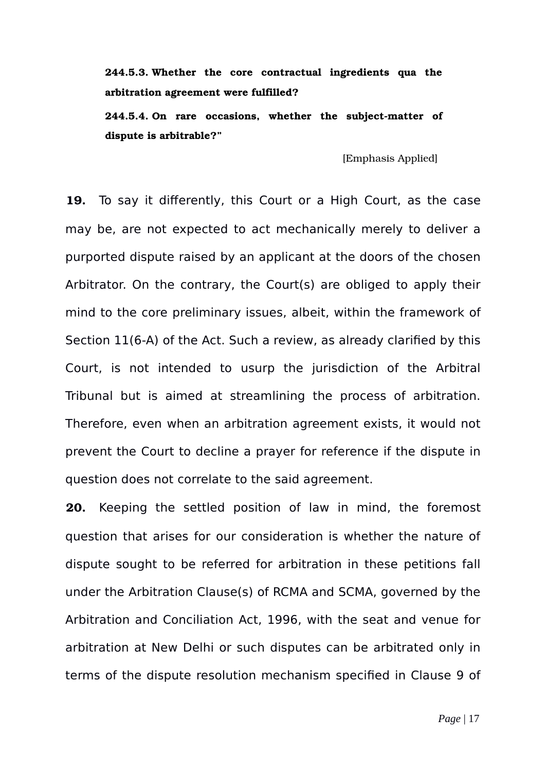**244.5.3. Whether the core contractual ingredients qua the arbitration agreement were fulfilled?**

244.5.4. On rare occasions, whether the subject-matter of **dispute is arbitrable?"**

[Emphasis Applied]

**19.** To say it differently, this Court or a High Court, as the case may be, are not expected to act mechanically merely to deliver a purported dispute raised by an applicant at the doors of the chosen Arbitrator. On the contrary, the Court(s) are obliged to apply their mind to the core preliminary issues, albeit, within the framework of Section 11(6-A) of the Act. Such a review, as already clarified by this Court, is not intended to usurp the jurisdiction of the Arbitral Tribunal but is aimed at streamlining the process of arbitration. Therefore, even when an arbitration agreement exists, it would not prevent the Court to decline a prayer for reference if the dispute in question does not correlate to the said agreement.

**20.** Keeping the settled position of law in mind, the foremost question that arises for our consideration is whether the nature of dispute sought to be referred for arbitration in these petitions fall under the Arbitration Clause(s) of RCMA and SCMA, governed by the Arbitration and Conciliation Act, 1996, with the seat and venue for arbitration at New Delhi or such disputes can be arbitrated only in terms of the dispute resolution mechanism specified in Clause 9 of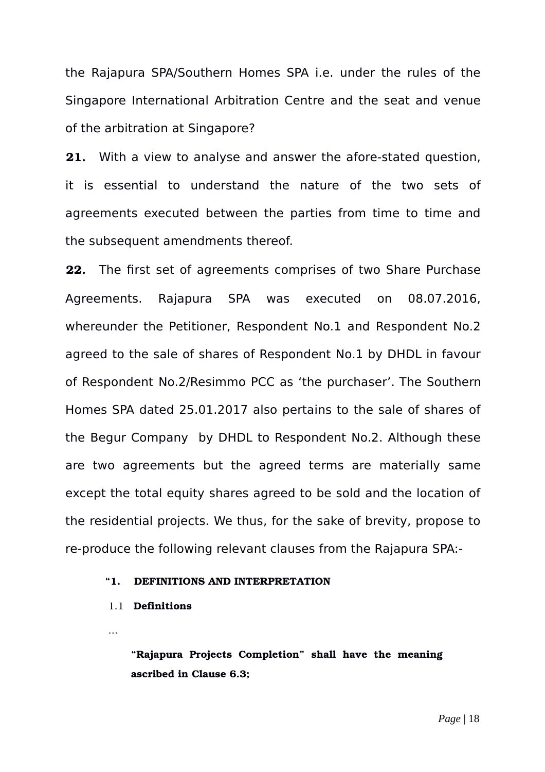the Rajapura SPA/Southern Homes SPA i.e. under the rules of the Singapore International Arbitration Centre and the seat and venue of the arbitration at Singapore?

**21.** With a view to analyse and answer the afore-stated question, it is essential to understand the nature of the two sets of agreements executed between the parties from time to time and the subsequent amendments thereof.

**22.** The first set of agreements comprises of two Share Purchase Agreements. Rajapura SPA was executed on 08.07.2016, whereunder the Petitioner, Respondent No.1 and Respondent No.2 agreed to the sale of shares of Respondent No.1 by DHDL in favour of Respondent No.2/Resimmo PCC as 'the purchaser'. The Southern Homes SPA dated 25.01.2017 also pertains to the sale of shares of the Begur Company by DHDL to Respondent No.2. Although these are two agreements but the agreed terms are materially same except the total equity shares agreed to be sold and the location of the residential projects. We thus, for the sake of brevity, propose to re-produce the following relevant clauses from the Rajapura SPA:-

#### **"1. DEFINITIONS AND INTERPRETATION**

#### 1.1 **Definitions**

...

**"Rajapura Projects Completion" shall have the meaning ascribed in Clause 6.3;**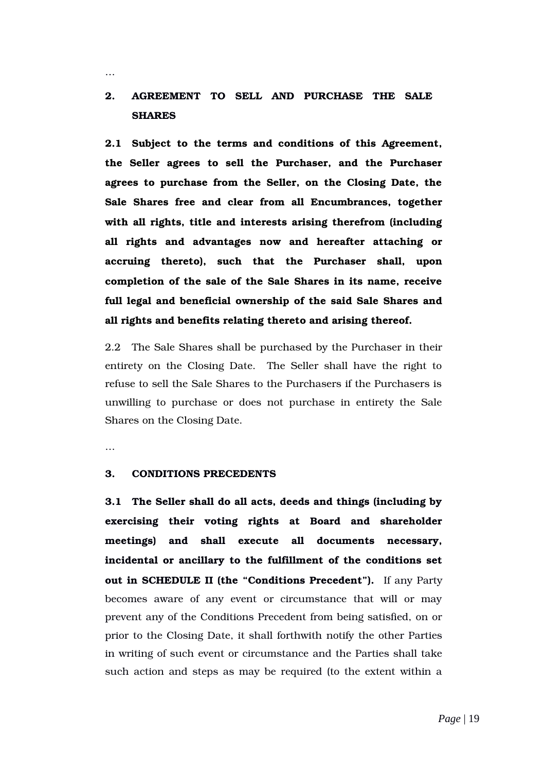# **2. AGREEMENT TO SELL AND PURCHASE THE SALE SHARES**

**2.1 Subject to the terms and conditions of this Agreement, the Seller agrees to sell the Purchaser, and the Purchaser agrees to purchase from the Seller, on the Closing Date, the Sale Shares free and clear from all Encumbrances, together with all rights, title and interests arising therefrom (including all rights and advantages now and hereafter attaching or accruing thereto), such that the Purchaser shall, upon completion of the sale of the Sale Shares in its name, receive full legal and beneficial ownership of the said Sale Shares and all rights and benefits relating thereto and arising thereof.**

2.2 The Sale Shares shall be purchased by the Purchaser in their entirety on the Closing Date. The Seller shall have the right to refuse to sell the Sale Shares to the Purchasers if the Purchasers is unwilling to purchase or does not purchase in entirety the Sale Shares on the Closing Date.

…

…

#### **3. CONDITIONS PRECEDENTS**

**3.1 The Seller shall do all acts, deeds and things (including by exercising their voting rights at Board and shareholder meetings) and shall execute all documents necessary, incidental or ancillary to the fulfillment of the conditions set out in SCHEDULE II (the "Conditions Precedent").** If any Party becomes aware of any event or circumstance that will or may prevent any of the Conditions Precedent from being satisfied, on or prior to the Closing Date, it shall forthwith notify the other Parties in writing of such event or circumstance and the Parties shall take such action and steps as may be required (to the extent within a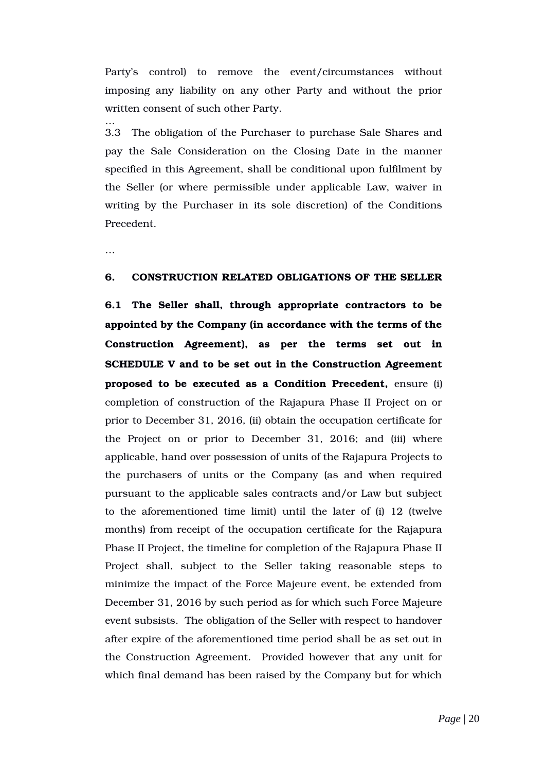Party's control) to remove the event/circumstances without imposing any liability on any other Party and without the prior written consent of such other Party.

3.3 The obligation of the Purchaser to purchase Sale Shares and pay the Sale Consideration on the Closing Date in the manner specified in this Agreement, shall be conditional upon fulfilment by the Seller (or where permissible under applicable Law, waiver in writing by the Purchaser in its sole discretion) of the Conditions Precedent.

…

…

#### **6. CONSTRUCTION RELATED OBLIGATIONS OF THE SELLER**

**6.1 The Seller shall, through appropriate contractors to be appointed by the Company (in accordance with the terms of the Construction Agreement), as per the terms set out in SCHEDULE V and to be set out in the Construction Agreement proposed to be executed as a Condition Precedent, ensure (i)** completion of construction of the Rajapura Phase II Project on or prior to December 31, 2016, (ii) obtain the occupation certificate for the Project on or prior to December 31, 2016; and (iii) where applicable, hand over possession of units of the Rajapura Projects to the purchasers of units or the Company (as and when required pursuant to the applicable sales contracts and/or Law but subject to the aforementioned time limit) until the later of (i) 12 (twelve months) from receipt of the occupation certificate for the Rajapura Phase II Project, the timeline for completion of the Rajapura Phase II Project shall, subject to the Seller taking reasonable steps to minimize the impact of the Force Majeure event, be extended from December 31, 2016 by such period as for which such Force Majeure event subsists. The obligation of the Seller with respect to handover after expire of the aforementioned time period shall be as set out in the Construction Agreement. Provided however that any unit for which final demand has been raised by the Company but for which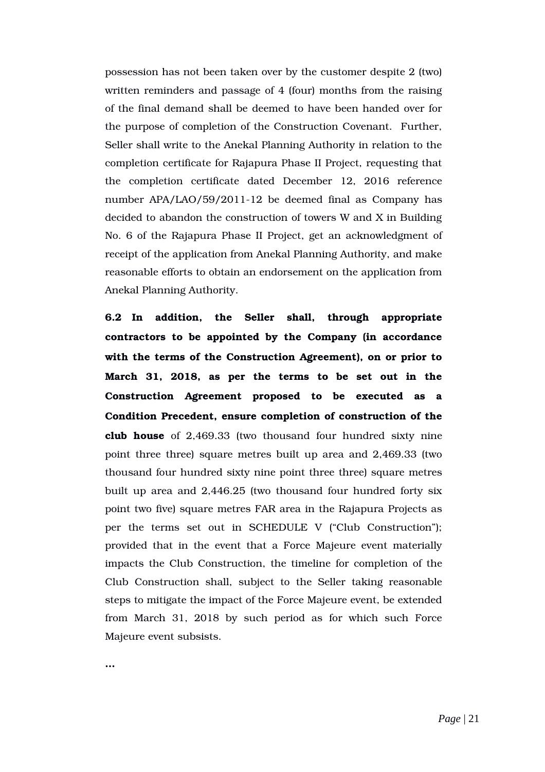possession has not been taken over by the customer despite 2 (two) written reminders and passage of 4 (four) months from the raising of the final demand shall be deemed to have been handed over for the purpose of completion of the Construction Covenant. Further, Seller shall write to the Anekal Planning Authority in relation to the completion certificate for Rajapura Phase II Project, requesting that the completion certificate dated December 12, 2016 reference number  $APA/LAO/59/2011-12$  be deemed final as Company has decided to abandon the construction of towers W and X in Building No. 6 of the Rajapura Phase II Project, get an acknowledgment of receipt of the application from Anekal Planning Authority, and make reasonable efforts to obtain an endorsement on the application from Anekal Planning Authority.

**6.2 In addition, the Seller shall, through appropriate contractors to be appointed by the Company (in accordance with the terms of the Construction Agreement), on or prior to** March 31, 2018, as per the terms to be set out in the **Construction Agreement proposed to be executed as a Condition Precedent, ensure completion of construction of the club house** of 2,469.33 (two thousand four hundred sixty nine point three three) square metres built up area and 2,469.33 (two thousand four hundred sixty nine point three three) square metres built up area and 2,446.25 (two thousand four hundred forty six point two five) square metres FAR area in the Rajapura Projects as per the terms set out in SCHEDULE V ("Club Construction"); provided that in the event that a Force Majeure event materially impacts the Club Construction, the timeline for completion of the Club Construction shall, subject to the Seller taking reasonable steps to mitigate the impact of the Force Majeure event, be extended from March 31, 2018 by such period as for which such Force Majeure event subsists.

**…**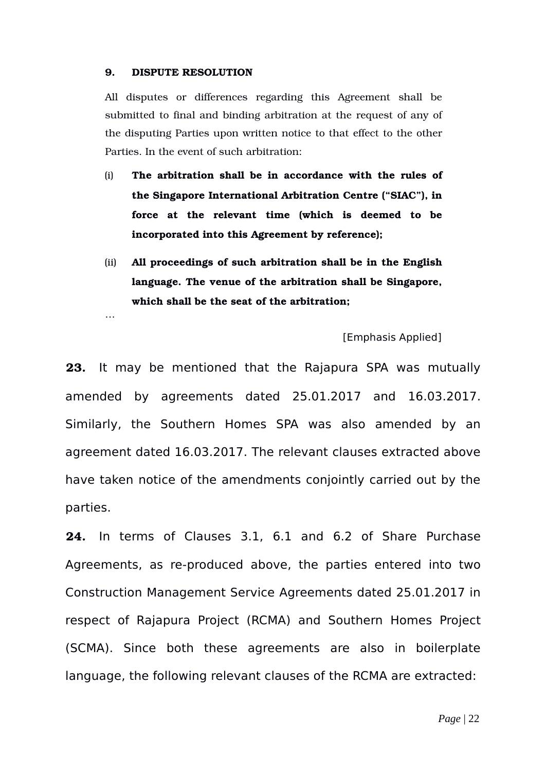#### **9. DISPUTE RESOLUTION**

…

All disputes or differences regarding this Agreement shall be submitted to final and binding arbitration at the request of any of the disputing Parties upon written notice to that effect to the other Parties. In the event of such arbitration:

- (i) **The arbitration shall be in accordance with the rules of the Singapore International Arbitration Centre ("SIAC"), in force at the relevant time (which is deemed to be incorporated into this Agreement by reference);**
- (ii) **All proceedings of such arbitration shall be in the English language. The venue of the arbitration shall be Singapore, which shall be the seat of the arbitration;**

[Emphasis Applied]

**23.** It may be mentioned that the Rajapura SPA was mutually amended by agreements dated 25.01.2017 and 16.03.2017. Similarly, the Southern Homes SPA was also amended by an agreement dated 16.03.2017. The relevant clauses extracted above have taken notice of the amendments conjointly carried out by the parties.

**24.** In terms of Clauses 3.1, 6.1 and 6.2 of Share Purchase Agreements, as re-produced above, the parties entered into two Construction Management Service Agreements dated 25.01.2017 in respect of Rajapura Project (RCMA) and Southern Homes Project (SCMA). Since both these agreements are also in boilerplate language, the following relevant clauses of the RCMA are extracted: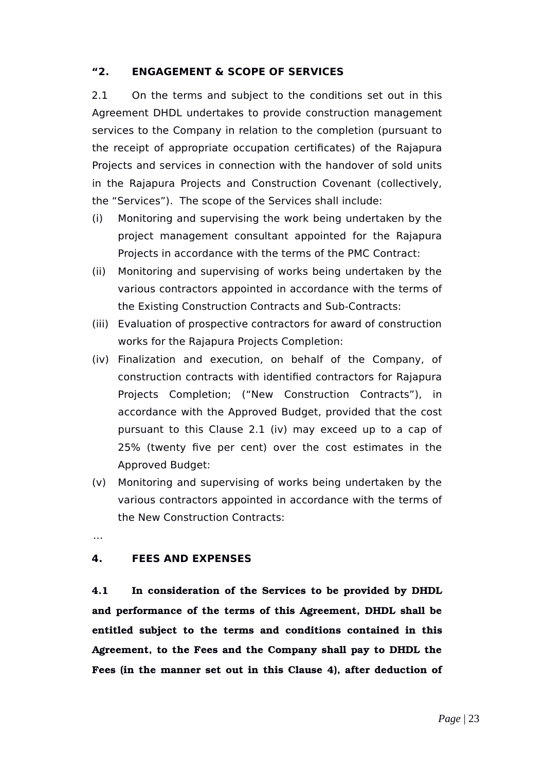### **"2. ENGAGEMENT & SCOPE OF SERVICES**

2.1 On the terms and subject to the conditions set out in this Agreement DHDL undertakes to provide construction management services to the Company in relation to the completion (pursuant to the receipt of appropriate occupation certificates) of the Rajapura Projects and services in connection with the handover of sold units in the Rajapura Projects and Construction Covenant (collectively, the "Services"). The scope of the Services shall include:

- (i) Monitoring and supervising the work being undertaken by the project management consultant appointed for the Rajapura Projects in accordance with the terms of the PMC Contract:
- (ii) Monitoring and supervising of works being undertaken by the various contractors appointed in accordance with the terms of the Existing Construction Contracts and Sub-Contracts:
- (iii) Evaluation of prospective contractors for award of construction works for the Rajapura Projects Completion:
- (iv) Finalization and execution, on behalf of the Company, of construction contracts with identified contractors for Rajapura Projects Completion; ("New Construction Contracts"), in accordance with the Approved Budget, provided that the cost pursuant to this Clause 2.1 (iv) may exceed up to a cap of 25% (twenty five per cent) over the cost estimates in the Approved Budget:
- (v) Monitoring and supervising of works being undertaken by the various contractors appointed in accordance with the terms of the New Construction Contracts:

…

### **4. FEES AND EXPENSES**

**4.1 In consideration of the Services to be provided by DHDL and performance of the terms of this Agreement, DHDL shall be entitled subject to the terms and conditions contained in this Agreement, to the Fees and the Company shall pay to DHDL the Fees (in the manner set out in this Clause 4), after deduction of**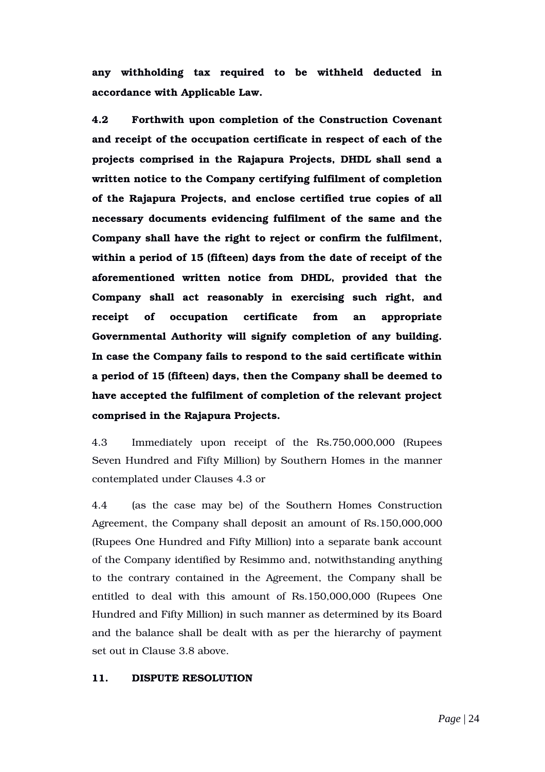**any withholding tax required to be withheld deducted in accordance with Applicable Law.**

**4.2 Forthwith upon completion of the Construction Covenant and receipt of the occupation certificate in respect of each of the projects comprised in the Rajapura Projects, DHDL shall send a written notice to the Company certifying fulfilment of completion of the Rajapura Projects, and enclose certified true copies of all necessary documents evidencing fulfilment of the same and the Company shall have the right to reject or confirm the fulfilment, within a period of 15 (fifteen) days from the date of receipt of the aforementioned written notice from DHDL, provided that the** Company shall act reasonably in exercising such right, and **receipt of occupation certificate from an appropriate Governmental Authority will signify completion of any building. In case the Company fails to respond to the said certificate within a period of 15 (fifteen) days, then the Company shall be deemed to have accepted the fulfilment of completion of the relevant project comprised in the Rajapura Projects.**

4.3 Immediately upon receipt of the Rs.750,000,000 (Rupees Seven Hundred and Fifty Million) by Southern Homes in the manner contemplated under Clauses 4.3 or

4.4 (as the case may be) of the Southern Homes Construction Agreement, the Company shall deposit an amount of Rs.150,000,000 (Rupees One Hundred and Fifty Million) into a separate bank account of the Company identified by Resimmo and, notwithstanding anything to the contrary contained in the Agreement, the Company shall be entitled to deal with this amount of Rs.150,000,000 (Rupees One Hundred and Fifty Million) in such manner as determined by its Board and the balance shall be dealt with as per the hierarchy of payment set out in Clause 3.8 above.

#### **11. DISPUTE RESOLUTION**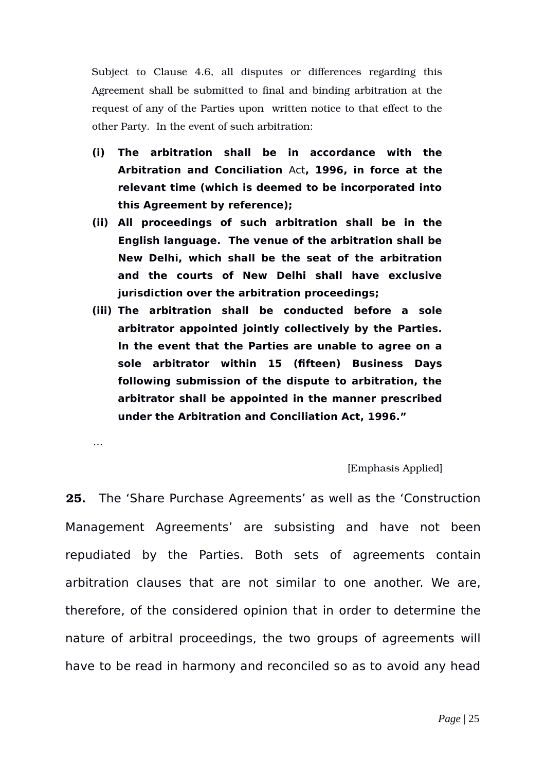Subject to Clause 4.6, all disputes or differences regarding this Agreement shall be submitted to final and binding arbitration at the request of any of the Parties upon written notice to that effect to the other Party. In the event of such arbitration:

- **(i) The arbitration shall be in accordance with the Arbitration and Conciliation** Act**, 1996, in force at the relevant time (which is deemed to be incorporated into this Agreement by reference);**
- **(ii) All proceedings of such arbitration shall be in the English language. The venue of the arbitration shall be New Delhi, which shall be the seat of the arbitration and the courts of New Delhi shall have exclusive jurisdiction over the arbitration proceedings;**
- **(iii) The arbitration shall be conducted before a sole arbitrator appointed jointly collectively by the Parties. In the event that the Parties are unable to agree on a sole arbitrator within 15 (fifteen) Business Days following submission of the dispute to arbitration, the arbitrator shall be appointed in the manner prescribed under the Arbitration and Conciliation Act, 1996."**

…

[Emphasis Applied]

**25.** The 'Share Purchase Agreements' as well as the 'Construction Management Agreements' are subsisting and have not been repudiated by the Parties. Both sets of agreements contain arbitration clauses that are not similar to one another. We are, therefore, of the considered opinion that in order to determine the nature of arbitral proceedings, the two groups of agreements will have to be read in harmony and reconciled so as to avoid any head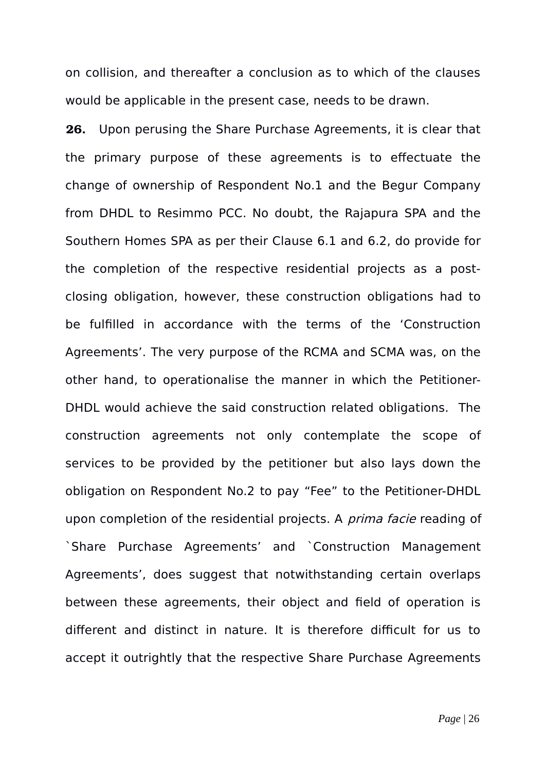on collision, and thereafter a conclusion as to which of the clauses would be applicable in the present case, needs to be drawn.

**26.** Upon perusing the Share Purchase Agreements, it is clear that the primary purpose of these agreements is to effectuate the change of ownership of Respondent No.1 and the Begur Company from DHDL to Resimmo PCC. No doubt, the Rajapura SPA and the Southern Homes SPA as per their Clause 6.1 and 6.2, do provide for the completion of the respective residential projects as a postclosing obligation, however, these construction obligations had to be fulfilled in accordance with the terms of the 'Construction Agreements'. The very purpose of the RCMA and SCMA was, on the other hand, to operationalise the manner in which the Petitioner-DHDL would achieve the said construction related obligations. The construction agreements not only contemplate the scope of services to be provided by the petitioner but also lays down the obligation on Respondent No.2 to pay "Fee" to the Petitioner-DHDL upon completion of the residential projects. A *prima facie* reading of `Share Purchase Agreements' and `Construction Management Agreements', does suggest that notwithstanding certain overlaps between these agreements, their object and field of operation is different and distinct in nature. It is therefore difficult for us to accept it outrightly that the respective Share Purchase Agreements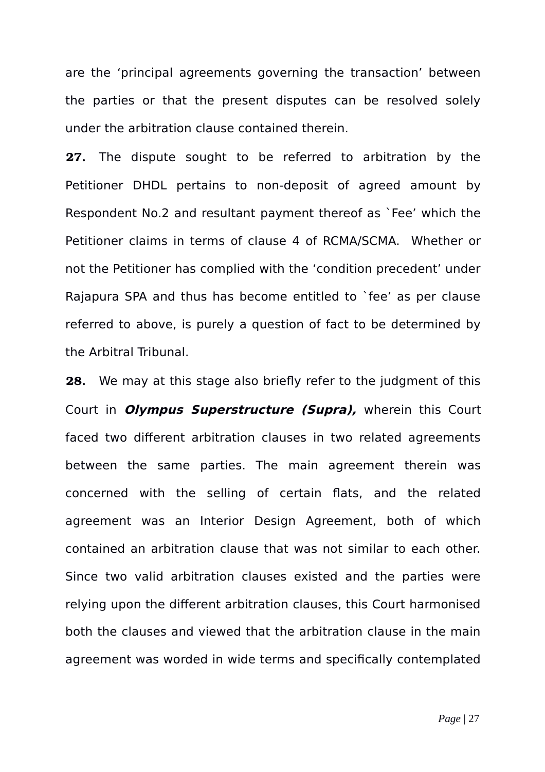are the 'principal agreements governing the transaction' between the parties or that the present disputes can be resolved solely under the arbitration clause contained therein.

**27.** The dispute sought to be referred to arbitration by the Petitioner DHDL pertains to non-deposit of agreed amount by Respondent No.2 and resultant payment thereof as `Fee' which the Petitioner claims in terms of clause 4 of RCMA/SCMA. Whether or not the Petitioner has complied with the 'condition precedent' under Rajapura SPA and thus has become entitled to `fee' as per clause referred to above, is purely a question of fact to be determined by the Arbitral Tribunal.

**28.** We may at this stage also briefly refer to the judgment of this Court in **Olympus Superstructure (Supra),** wherein this Court faced two different arbitration clauses in two related agreements between the same parties. The main agreement therein was concerned with the selling of certain flats, and the related agreement was an Interior Design Agreement, both of which contained an arbitration clause that was not similar to each other. Since two valid arbitration clauses existed and the parties were relying upon the different arbitration clauses, this Court harmonised both the clauses and viewed that the arbitration clause in the main agreement was worded in wide terms and specifically contemplated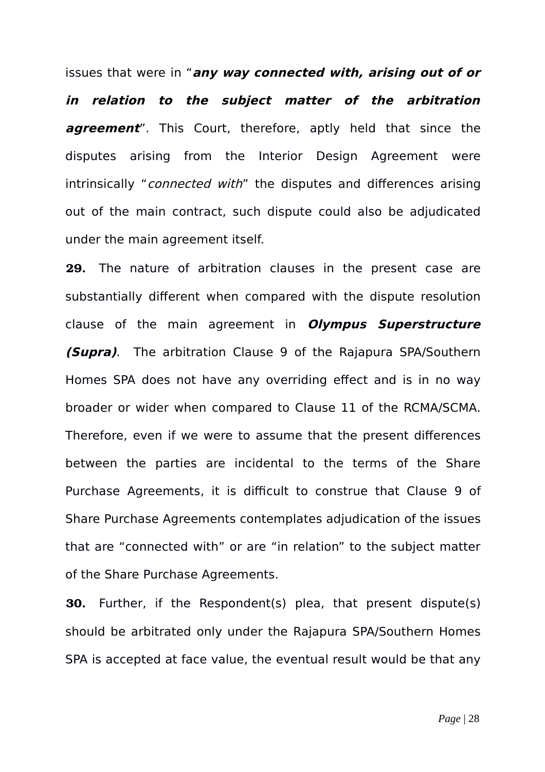issues that were in "**any way connected with, arising out of or in relation to the subject matter of the arbitration agreement**". This Court, therefore, aptly held that since the disputes arising from the Interior Design Agreement were intrinsically "*connected with*" the disputes and differences arising out of the main contract, such dispute could also be adjudicated under the main agreement itself.

**29.** The nature of arbitration clauses in the present case are substantially different when compared with the dispute resolution clause of the main agreement in **Olympus Superstructure (Supra)**. The arbitration Clause 9 of the Rajapura SPA/Southern Homes SPA does not have any overriding effect and is in no way broader or wider when compared to Clause 11 of the RCMA/SCMA. Therefore, even if we were to assume that the present differences between the parties are incidental to the terms of the Share Purchase Agreements, it is difficult to construe that Clause 9 of Share Purchase Agreements contemplates adjudication of the issues that are "connected with" or are "in relation" to the subject matter of the Share Purchase Agreements.

**30.** Further, if the Respondent(s) plea, that present dispute(s) should be arbitrated only under the Rajapura SPA/Southern Homes SPA is accepted at face value, the eventual result would be that any

*Page* | 28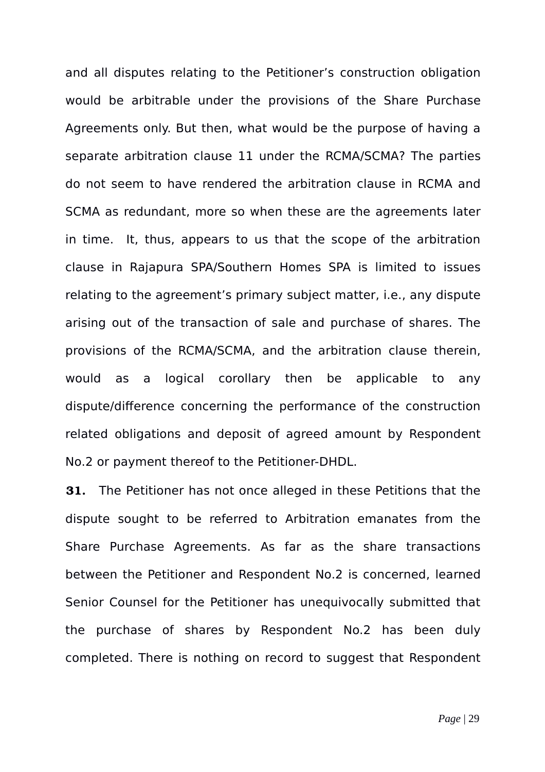and all disputes relating to the Petitioner's construction obligation would be arbitrable under the provisions of the Share Purchase Agreements only. But then, what would be the purpose of having a separate arbitration clause 11 under the RCMA/SCMA? The parties do not seem to have rendered the arbitration clause in RCMA and SCMA as redundant, more so when these are the agreements later in time. It, thus, appears to us that the scope of the arbitration clause in Rajapura SPA/Southern Homes SPA is limited to issues relating to the agreement's primary subject matter, i.e., any dispute arising out of the transaction of sale and purchase of shares. The provisions of the RCMA/SCMA, and the arbitration clause therein, would as a logical corollary then be applicable to any dispute/difference concerning the performance of the construction related obligations and deposit of agreed amount by Respondent No.2 or payment thereof to the Petitioner-DHDL.

**31.** The Petitioner has not once alleged in these Petitions that the dispute sought to be referred to Arbitration emanates from the Share Purchase Agreements. As far as the share transactions between the Petitioner and Respondent No.2 is concerned, learned Senior Counsel for the Petitioner has unequivocally submitted that the purchase of shares by Respondent No.2 has been duly completed. There is nothing on record to suggest that Respondent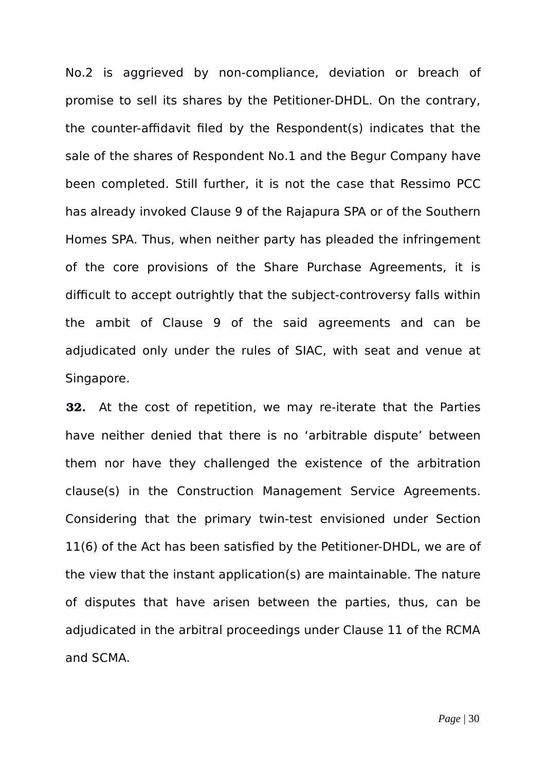No.2 is aggrieved by non-compliance, deviation or breach of promise to sell its shares by the Petitioner-DHDL. On the contrary, the counter-affidavit filed by the Respondent(s) indicates that the sale of the shares of Respondent No.1 and the Begur Company have been completed. Still further, it is not the case that Ressimo PCC has already invoked Clause 9 of the Rajapura SPA or of the Southern Homes SPA. Thus, when neither party has pleaded the infringement of the core provisions of the Share Purchase Agreements, it is difficult to accept outrightly that the subject-controversy falls within the ambit of Clause 9 of the said agreements and can be adjudicated only under the rules of SIAC, with seat and venue at Singapore.

**32.** At the cost of repetition, we may re-iterate that the Parties have neither denied that there is no 'arbitrable dispute' between them nor have they challenged the existence of the arbitration clause(s) in the Construction Management Service Agreements. Considering that the primary twin-test envisioned under Section 11(6) of the Act has been satisfied by the Petitioner-DHDL, we are of the view that the instant application(s) are maintainable. The nature of disputes that have arisen between the parties, thus, can be adjudicated in the arbitral proceedings under Clause 11 of the RCMA and SCMA.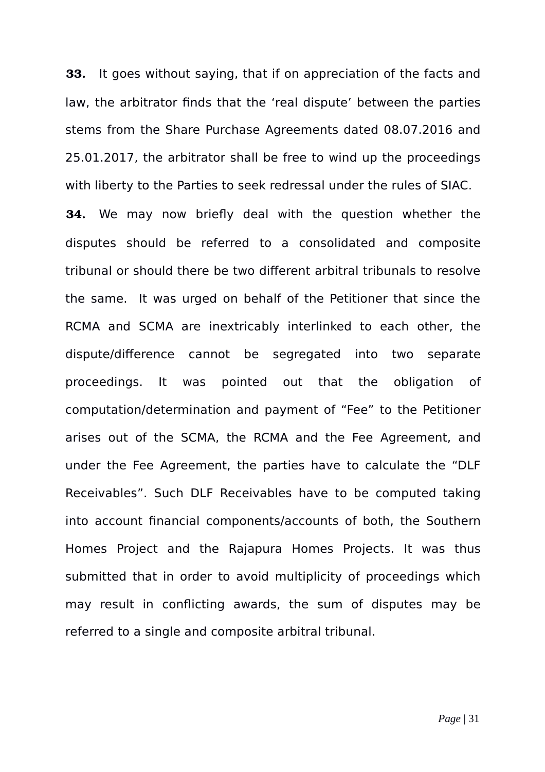**33.** It goes without saying, that if on appreciation of the facts and law, the arbitrator finds that the 'real dispute' between the parties stems from the Share Purchase Agreements dated 08.07.2016 and 25.01.2017, the arbitrator shall be free to wind up the proceedings with liberty to the Parties to seek redressal under the rules of SIAC.

**34.** We may now briefly deal with the question whether the disputes should be referred to a consolidated and composite tribunal or should there be two different arbitral tribunals to resolve the same. It was urged on behalf of the Petitioner that since the RCMA and SCMA are inextricably interlinked to each other, the dispute/difference cannot be segregated into two separate proceedings. It was pointed out that the obligation of computation/determination and payment of "Fee" to the Petitioner arises out of the SCMA, the RCMA and the Fee Agreement, and under the Fee Agreement, the parties have to calculate the "DLF Receivables". Such DLF Receivables have to be computed taking into account financial components/accounts of both, the Southern Homes Project and the Rajapura Homes Projects. It was thus submitted that in order to avoid multiplicity of proceedings which may result in conflicting awards, the sum of disputes may be referred to a single and composite arbitral tribunal.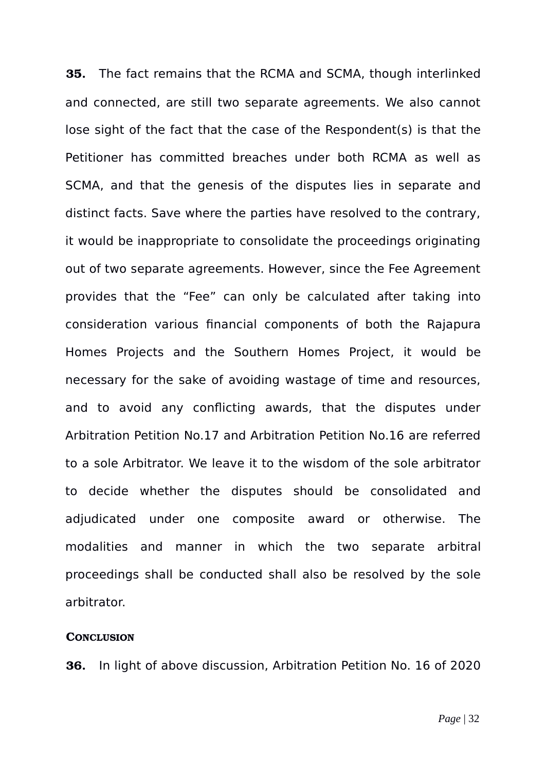**35.** The fact remains that the RCMA and SCMA, though interlinked and connected, are still two separate agreements. We also cannot lose sight of the fact that the case of the Respondent(s) is that the Petitioner has committed breaches under both RCMA as well as SCMA, and that the genesis of the disputes lies in separate and distinct facts. Save where the parties have resolved to the contrary, it would be inappropriate to consolidate the proceedings originating out of two separate agreements. However, since the Fee Agreement provides that the "Fee" can only be calculated after taking into consideration various financial components of both the Rajapura Homes Projects and the Southern Homes Project, it would be necessary for the sake of avoiding wastage of time and resources, and to avoid any conflicting awards, that the disputes under Arbitration Petition No.17 and Arbitration Petition No.16 are referred to a sole Arbitrator. We leave it to the wisdom of the sole arbitrator to decide whether the disputes should be consolidated and adjudicated under one composite award or otherwise. The modalities and manner in which the two separate arbitral proceedings shall be conducted shall also be resolved by the sole arbitrator.

#### **CONCLUSION**

**36.** In light of above discussion, Arbitration Petition No. 16 of 2020